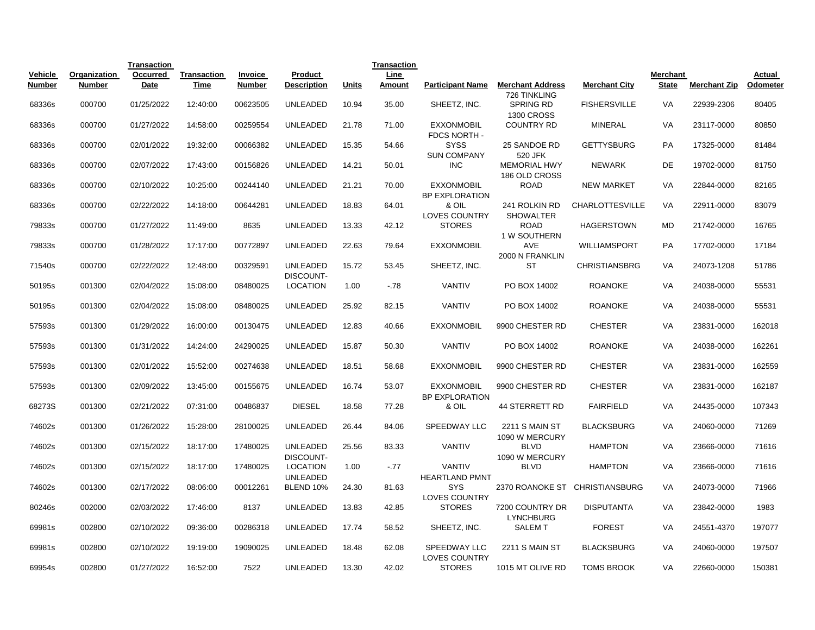|                          |                        | <b>Transaction</b> |                            |                          |                                     |              | <b>Transaction</b> |                                             |                                                       |                                |                                 |                     |                    |
|--------------------------|------------------------|--------------------|----------------------------|--------------------------|-------------------------------------|--------------|--------------------|---------------------------------------------|-------------------------------------------------------|--------------------------------|---------------------------------|---------------------|--------------------|
| Vehicle<br><b>Number</b> | Organization<br>Number | Occurred<br>Date   | <b>Transaction</b><br>Time | Invoice<br><b>Number</b> | Product<br><b>Description</b>       | <b>Units</b> | Line<br>Amount     | <b>Participant Name</b>                     | <b>Merchant Address</b>                               | <b>Merchant City</b>           | <b>Merchant</b><br><b>State</b> | <b>Merchant Zip</b> | Actual<br>Odometer |
| 68336s                   | 000700                 | 01/25/2022         | 12:40:00                   | 00623505                 | <b>UNLEADED</b>                     | 10.94        | 35.00              | SHEETZ, INC.                                | 726 TINKLING<br><b>SPRING RD</b><br><b>1300 CROSS</b> | <b>FISHERSVILLE</b>            | <b>VA</b>                       | 22939-2306          | 80405              |
| 68336s                   | 000700                 | 01/27/2022         | 14:58:00                   | 00259554                 | <b>UNLEADED</b>                     | 21.78        | 71.00              | <b>EXXONMOBIL</b><br>FDCS NORTH -           | <b>COUNTRY RD</b>                                     | <b>MINERAL</b>                 | <b>VA</b>                       | 23117-0000          | 80850              |
| 68336s                   | 000700                 | 02/01/2022         | 19:32:00                   | 00066382                 | <b>UNLEADED</b>                     | 15.35        | 54.66              | <b>SYSS</b><br><b>SUN COMPANY</b>           | 25 SANDOE RD<br>520 JFK                               | <b>GETTYSBURG</b>              | PA                              | 17325-0000          | 81484              |
| 68336s                   | 000700                 | 02/07/2022         | 17:43:00                   | 00156826                 | <b>UNLEADED</b>                     | 14.21        | 50.01              | <b>INC</b>                                  | <b>MEMORIAL HWY</b><br>186 OLD CROSS                  | <b>NEWARK</b>                  | DE                              | 19702-0000          | 81750              |
| 68336s                   | 000700                 | 02/10/2022         | 10:25:00                   | 00244140                 | <b>UNLEADED</b>                     | 21.21        | 70.00              | <b>EXXONMOBIL</b><br>BP EXPLORATION         | <b>ROAD</b>                                           | <b>NEW MARKET</b>              | VA                              | 22844-0000          | 82165              |
| 68336s                   | 000700                 | 02/22/2022         | 14:18:00                   | 00644281                 | <b>UNLEADED</b>                     | 18.83        | 64.01              | & OIL<br><b>LOVES COUNTRY</b>               | 241 ROLKIN RD<br><b>SHOWALTER</b>                     | <b>CHARLOTTESVILLE</b>         | VA                              | 22911-0000          | 83079              |
| 79833s                   | 000700                 | 01/27/2022         | 11:49:00                   | 8635                     | <b>UNLEADED</b>                     | 13.33        | 42.12              | <b>STORES</b>                               | <b>ROAD</b><br>1 W SOUTHERN                           | <b>HAGERSTOWN</b>              | <b>MD</b>                       | 21742-0000          | 16765              |
| 79833s                   | 000700                 | 01/28/2022         | 17:17:00                   | 00772897                 | <b>UNLEADED</b>                     | 22.63        | 79.64              | <b>EXXONMOBIL</b>                           | <b>AVE</b><br>2000 N FRANKLIN                         | WILLIAMSPORT                   | PA                              | 17702-0000          | 17184              |
| 71540s                   | 000700                 | 02/22/2022         | 12:48:00                   | 00329591                 | <b>UNLEADED</b><br><b>DISCOUNT-</b> | 15.72        | 53.45              | SHEETZ, INC.                                | <b>ST</b>                                             | <b>CHRISTIANSBRG</b>           | VA                              | 24073-1208          | 51786              |
| 50195s                   | 001300                 | 02/04/2022         | 15:08:00                   | 08480025                 | <b>LOCATION</b>                     | 1.00         | $-78$              | <b>VANTIV</b>                               | PO BOX 14002                                          | <b>ROANOKE</b>                 | VA                              | 24038-0000          | 55531              |
| 50195s                   | 001300                 | 02/04/2022         | 15:08:00                   | 08480025                 | <b>UNLEADED</b>                     | 25.92        | 82.15              | <b>VANTIV</b>                               | PO BOX 14002                                          | <b>ROANOKE</b>                 | VA                              | 24038-0000          | 55531              |
| 57593s                   | 001300                 | 01/29/2022         | 16:00:00                   | 00130475                 | <b>UNLEADED</b>                     | 12.83        | 40.66              | <b>EXXONMOBIL</b>                           | 9900 CHESTER RD                                       | <b>CHESTER</b>                 | VA                              | 23831-0000          | 162018             |
| 57593s                   | 001300                 | 01/31/2022         | 14:24:00                   | 24290025                 | <b>UNLEADED</b>                     | 15.87        | 50.30              | <b>VANTIV</b>                               | PO BOX 14002                                          | <b>ROANOKE</b>                 | VA                              | 24038-0000          | 162261             |
| 57593s                   | 001300                 | 02/01/2022         | 15:52:00                   | 00274638                 | <b>UNLEADED</b>                     | 18.51        | 58.68              | <b>EXXONMOBIL</b>                           | 9900 CHESTER RD                                       | <b>CHESTER</b>                 | VA                              | 23831-0000          | 162559             |
| 57593s                   | 001300                 | 02/09/2022         | 13:45:00                   | 00155675                 | <b>UNLEADED</b>                     | 16.74        | 53.07              | <b>EXXONMOBIL</b><br>BP EXPLORATION         | 9900 CHESTER RD                                       | <b>CHESTER</b>                 | VA                              | 23831-0000          | 162187             |
| 68273S                   | 001300                 | 02/21/2022         | 07:31:00                   | 00486837                 | <b>DIESEL</b>                       | 18.58        | 77.28              | & OIL                                       | <b>44 STERRETT RD</b>                                 | <b>FAIRFIELD</b>               | VA                              | 24435-0000          | 107343             |
| 74602s                   | 001300                 | 01/26/2022         | 15:28:00                   | 28100025                 | <b>UNLEADED</b>                     | 26.44        | 84.06              | <b>SPEEDWAY LLC</b>                         | <b>2211 S MAIN ST</b><br>1090 W MERCURY               | <b>BLACKSBURG</b>              | <b>VA</b>                       | 24060-0000          | 71269              |
| 74602s                   | 001300                 | 02/15/2022         | 18:17:00                   | 17480025                 | <b>UNLEADED</b><br><b>DISCOUNT-</b> | 25.56        | 83.33              | <b>VANTIV</b>                               | <b>BLVD</b><br>1090 W MERCURY                         | <b>HAMPTON</b>                 | VA                              | 23666-0000          | 71616              |
| 74602s                   | 001300                 | 02/15/2022         | 18:17:00                   | 17480025                 | <b>LOCATION</b><br><b>UNLEADED</b>  | 1.00         | $-.77$             | <b>VANTIV</b><br><b>HEARTLAND PMNT</b>      | <b>BLVD</b>                                           | <b>HAMPTON</b>                 | <b>VA</b>                       | 23666-0000          | 71616              |
| 74602s                   | 001300                 | 02/17/2022         | 08:06:00                   | 00012261                 | <b>BLEND 10%</b>                    | 24.30        | 81.63              | <b>SYS</b><br><b>LOVES COUNTRY</b>          |                                                       | 2370 ROANOKE ST CHRISTIANSBURG | <b>VA</b>                       | 24073-0000          | 71966              |
| 80246s                   | 002000                 | 02/03/2022         | 17:46:00                   | 8137                     | <b>UNLEADED</b>                     | 13.83        | 42.85              | <b>STORES</b>                               | 7200 COUNTRY DR<br><b>LYNCHBURG</b>                   | <b>DISPUTANTA</b>              | <b>VA</b>                       | 23842-0000          | 1983               |
| 69981s                   | 002800                 | 02/10/2022         | 09:36:00                   | 00286318                 | <b>UNLEADED</b>                     | 17.74        | 58.52              | SHEETZ, INC.                                | <b>SALEMT</b>                                         | <b>FOREST</b>                  | <b>VA</b>                       | 24551-4370          | 197077             |
| 69981s                   | 002800                 | 02/10/2022         | 19:19:00                   | 19090025                 | <b>UNLEADED</b>                     | 18.48        | 62.08              | <b>SPEEDWAY LLC</b><br><b>LOVES COUNTRY</b> | <b>2211 S MAIN ST</b>                                 | <b>BLACKSBURG</b>              | VA                              | 24060-0000          | 197507             |
| 69954s                   | 002800                 | 01/27/2022         | 16:52:00                   | 7522                     | <b>UNLEADED</b>                     | 13.30        | 42.02              | <b>STORES</b>                               | 1015 MT OLIVE RD                                      | <b>TOMS BROOK</b>              | <b>VA</b>                       | 22660-0000          | 150381             |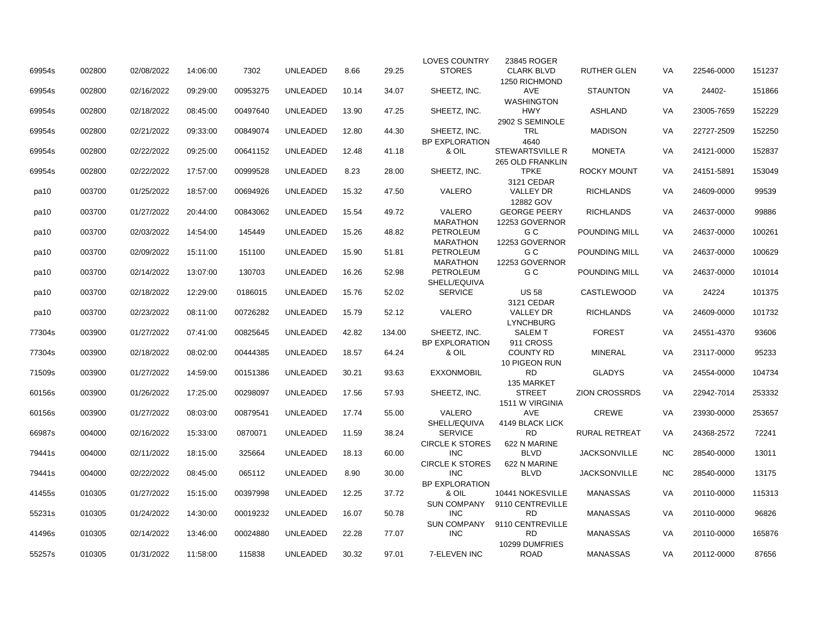|        |        |            |          |          |                 |       |        | <b>LOVES COUNTRY</b>                     | 23845 ROGER                                       |                      |           |            |        |
|--------|--------|------------|----------|----------|-----------------|-------|--------|------------------------------------------|---------------------------------------------------|----------------------|-----------|------------|--------|
| 69954s | 002800 | 02/08/2022 | 14:06:00 | 7302     | <b>UNLEADED</b> | 8.66  | 29.25  | <b>STORES</b>                            | <b>CLARK BLVD</b><br>1250 RICHMOND                | <b>RUTHER GLEN</b>   | VA        | 22546-0000 | 151237 |
| 69954s | 002800 | 02/16/2022 | 09:29:00 | 00953275 | <b>UNLEADED</b> | 10.14 | 34.07  | SHEETZ, INC.                             | <b>AVE</b><br><b>WASHINGTON</b>                   | <b>STAUNTON</b>      | VA        | 24402-     | 151866 |
| 69954s | 002800 | 02/18/2022 | 08:45:00 | 00497640 | <b>UNLEADED</b> | 13.90 | 47.25  | SHEETZ, INC.                             | <b>HWY</b><br>2902 S SEMINOLE                     | <b>ASHLAND</b>       | VA        | 23005-7659 | 152229 |
| 69954s | 002800 | 02/21/2022 | 09:33:00 | 00849074 | <b>UNLEADED</b> | 12.80 | 44.30  | SHEETZ. INC.<br><b>BP EXPLORATION</b>    | <b>TRL</b><br>4640                                | <b>MADISON</b>       | <b>VA</b> | 22727-2509 | 152250 |
| 69954s | 002800 | 02/22/2022 | 09:25:00 | 00641152 | <b>UNLEADED</b> | 12.48 | 41.18  | & OIL                                    | <b>STEWARTSVILLE R</b><br><b>265 OLD FRANKLIN</b> | <b>MONETA</b>        | VA        | 24121-0000 | 152837 |
| 69954s | 002800 | 02/22/2022 | 17:57:00 | 00999528 | <b>UNLEADED</b> | 8.23  | 28.00  | SHEETZ, INC.                             | <b>TPKE</b><br>3121 CEDAR                         | <b>ROCKY MOUNT</b>   | VA        | 24151-5891 | 153049 |
| pa10   | 003700 | 01/25/2022 | 18:57:00 | 00694926 | <b>UNLEADED</b> | 15.32 | 47.50  | VALERO                                   | <b>VALLEY DR</b><br>12882 GOV                     | <b>RICHLANDS</b>     | VA        | 24609-0000 | 99539  |
| pa10   | 003700 | 01/27/2022 | 20:44:00 | 00843062 | <b>UNLEADED</b> | 15.54 | 49.72  | VALERO<br><b>MARATHON</b>                | <b>GEORGE PEERY</b><br>12253 GOVERNOR             | <b>RICHLANDS</b>     | VA        | 24637-0000 | 99886  |
| pa10   | 003700 | 02/03/2022 | 14:54:00 | 145449   | <b>UNLEADED</b> | 15.26 | 48.82  | <b>PETROLEUM</b><br><b>MARATHON</b>      | G C<br>12253 GOVERNOR                             | POUNDING MILL        | VA        | 24637-0000 | 100261 |
| pa10   | 003700 | 02/09/2022 | 15:11:00 | 151100   | UNLEADED        | 15.90 | 51.81  | <b>PETROLEUM</b><br><b>MARATHON</b>      | G C<br>12253 GOVERNOR                             | POUNDING MILL        | VA        | 24637-0000 | 100629 |
| pa10   | 003700 | 02/14/2022 | 13:07:00 | 130703   | <b>UNLEADED</b> | 16.26 | 52.98  | <b>PETROLEUM</b><br>SHELL/EQUIVA         | G C                                               | POUNDING MILL        | VA        | 24637-0000 | 101014 |
| pa10   | 003700 | 02/18/2022 | 12:29:00 | 0186015  | UNLEADED        | 15.76 | 52.02  | <b>SERVICE</b>                           | <b>US 58</b><br>3121 CEDAR                        | <b>CASTLEWOOD</b>    | VA        | 24224      | 101375 |
| pa10   | 003700 | 02/23/2022 | 08:11:00 | 00726282 | <b>UNLEADED</b> | 15.79 | 52.12  | VALERO                                   | <b>VALLEY DR</b><br><b>LYNCHBURG</b>              | <b>RICHLANDS</b>     | VA        | 24609-0000 | 101732 |
| 77304s | 003900 | 01/27/2022 | 07:41:00 | 00825645 | <b>UNLEADED</b> | 42.82 | 134.00 | SHEETZ, INC.<br><b>BP EXPLORATION</b>    | <b>SALEM T</b><br>911 CROSS                       | <b>FOREST</b>        | VA        | 24551-4370 | 93606  |
| 77304s | 003900 | 02/18/2022 | 08:02:00 | 00444385 | <b>UNLEADED</b> | 18.57 | 64.24  | & OIL                                    | <b>COUNTY RD</b><br>10 PIGEON RUN                 | <b>MINERAL</b>       | VA        | 23117-0000 | 95233  |
| 71509s | 003900 | 01/27/2022 | 14:59:00 | 00151386 | <b>UNLEADED</b> | 30.21 | 93.63  | <b>EXXONMOBIL</b>                        | <b>RD</b><br>135 MARKET                           | <b>GLADYS</b>        | VA        | 24554-0000 | 104734 |
| 60156s | 003900 | 01/26/2022 | 17:25:00 | 00298097 | <b>UNLEADED</b> | 17.56 | 57.93  | SHEETZ, INC.                             | <b>STREET</b><br>1511 W VIRGINIA                  | <b>ZION CROSSRDS</b> | VA        | 22942-7014 | 253332 |
| 60156s | 003900 | 01/27/2022 | 08:03:00 | 00879541 | <b>UNLEADED</b> | 17.74 | 55.00  | <b>VALERO</b><br>SHELL/EQUIVA            | <b>AVE</b><br>4149 BLACK LICK                     | <b>CREWE</b>         | VA        | 23930-0000 | 253657 |
| 66987s | 004000 | 02/16/2022 | 15:33:00 | 0870071  | <b>UNLEADED</b> | 11.59 | 38.24  | <b>SERVICE</b><br><b>CIRCLE K STORES</b> | <b>RD</b><br>622 N MARINE                         | <b>RURAL RETREAT</b> | VA        | 24368-2572 | 72241  |
| 79441s | 004000 | 02/11/2022 | 18:15:00 | 325664   | <b>UNLEADED</b> | 18.13 | 60.00  | <b>INC</b><br><b>CIRCLE K STORES</b>     | <b>BLVD</b><br>622 N MARINE                       | <b>JACKSONVILLE</b>  | <b>NC</b> | 28540-0000 | 13011  |
| 79441s | 004000 | 02/22/2022 | 08:45:00 | 065112   | <b>UNLEADED</b> | 8.90  | 30.00  | <b>INC</b><br><b>BP EXPLORATION</b>      | <b>BLVD</b>                                       | <b>JACKSONVILLE</b>  | <b>NC</b> | 28540-0000 | 13175  |
| 41455s | 010305 | 01/27/2022 | 15:15:00 | 00397998 | <b>UNLEADED</b> | 12.25 | 37.72  | & OIL<br><b>SUN COMPANY</b>              | 10441 NOKESVILLE<br>9110 CENTREVILLE              | <b>MANASSAS</b>      | VA        | 20110-0000 | 115313 |
| 55231s | 010305 | 01/24/2022 | 14:30:00 | 00019232 | <b>UNLEADED</b> | 16.07 | 50.78  | <b>INC</b><br><b>SUN COMPANY</b>         | <b>RD</b><br>9110 CENTREVILLE                     | <b>MANASSAS</b>      | VA        | 20110-0000 | 96826  |
| 41496s | 010305 | 02/14/2022 | 13:46:00 | 00024880 | <b>UNLEADED</b> | 22.28 | 77.07  | <b>INC</b>                               | <b>RD</b><br>10299 DUMFRIES                       | <b>MANASSAS</b>      | VA        | 20110-0000 | 165876 |
| 55257s | 010305 | 01/31/2022 | 11:58:00 | 115838   | <b>UNLEADED</b> | 30.32 | 97.01  | 7-ELEVEN INC                             | <b>ROAD</b>                                       | <b>MANASSAS</b>      | <b>VA</b> | 20112-0000 | 87656  |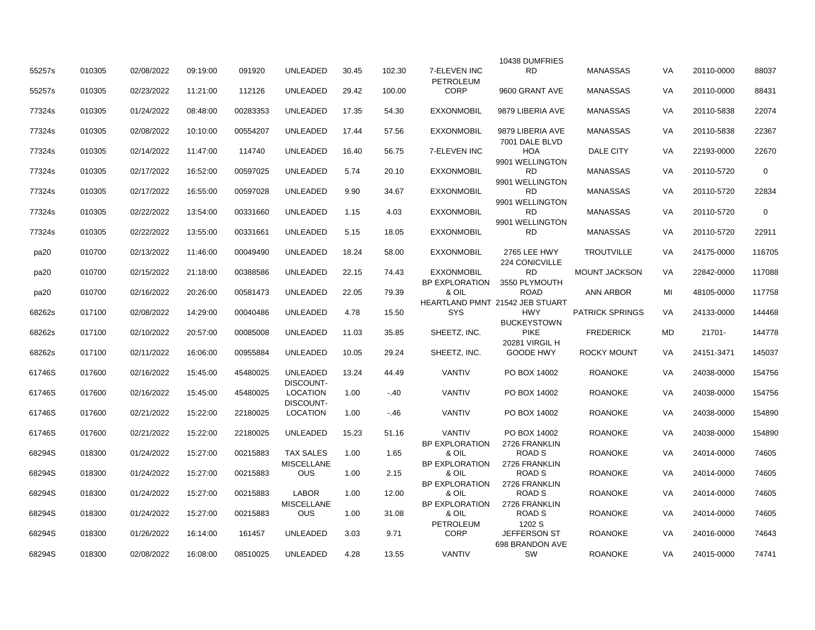|        |        |            |          |          |                   |       |        |                                 | 10438 DUMFRIES                  |                        |           |            |             |
|--------|--------|------------|----------|----------|-------------------|-------|--------|---------------------------------|---------------------------------|------------------------|-----------|------------|-------------|
| 55257s | 010305 | 02/08/2022 | 09:19:00 | 091920   | <b>UNLEADED</b>   | 30.45 | 102.30 | 7-ELEVEN INC                    | <b>RD</b>                       | <b>MANASSAS</b>        | VA        | 20110-0000 | 88037       |
| 55257s | 010305 | 02/23/2022 | 11:21:00 | 112126   | <b>UNLEADED</b>   | 29.42 | 100.00 | <b>PETROLEUM</b><br><b>CORP</b> | 9600 GRANT AVE                  | <b>MANASSAS</b>        | VA        | 20110-0000 | 88431       |
|        |        |            |          |          |                   |       |        |                                 |                                 |                        |           |            |             |
| 77324s | 010305 | 01/24/2022 | 08:48:00 | 00283353 | <b>UNLEADED</b>   | 17.35 | 54.30  | <b>EXXONMOBIL</b>               | 9879 LIBERIA AVE                | <b>MANASSAS</b>        | VA        | 20110-5838 | 22074       |
| 77324s | 010305 | 02/08/2022 | 10:10:00 | 00554207 | <b>UNLEADED</b>   | 17.44 | 57.56  | <b>EXXONMOBIL</b>               | 9879 LIBERIA AVE                | <b>MANASSAS</b>        | <b>VA</b> | 20110-5838 | 22367       |
|        |        |            |          |          |                   |       |        |                                 | 7001 DALE BLVD                  |                        |           |            |             |
| 77324s | 010305 | 02/14/2022 | 11:47:00 | 114740   | <b>UNLEADED</b>   | 16.40 | 56.75  | 7-ELEVEN INC                    | <b>HOA</b><br>9901 WELLINGTON   | <b>DALE CITY</b>       | <b>VA</b> | 22193-0000 | 22670       |
| 77324s | 010305 | 02/17/2022 | 16:52:00 | 00597025 | <b>UNLEADED</b>   | 5.74  | 20.10  | <b>EXXONMOBIL</b>               | <b>RD</b>                       | <b>MANASSAS</b>        | <b>VA</b> | 20110-5720 | $\mathbf 0$ |
|        |        |            |          |          |                   |       |        |                                 | 9901 WELLINGTON                 |                        |           |            |             |
| 77324s | 010305 | 02/17/2022 | 16:55:00 | 00597028 | <b>UNLEADED</b>   | 9.90  | 34.67  | <b>EXXONMOBIL</b>               | <b>RD</b>                       | <b>MANASSAS</b>        | <b>VA</b> | 20110-5720 | 22834       |
| 77324s | 010305 | 02/22/2022 | 13:54:00 | 00331660 | <b>UNLEADED</b>   | 1.15  | 4.03   | <b>EXXONMOBIL</b>               | 9901 WELLINGTON<br><b>RD</b>    | <b>MANASSAS</b>        | VA        | 20110-5720 | $\mathbf 0$ |
|        |        |            |          |          |                   |       |        |                                 | 9901 WELLINGTON                 |                        |           |            |             |
| 77324s | 010305 | 02/22/2022 | 13:55:00 | 00331661 | <b>UNLEADED</b>   | 5.15  | 18.05  | <b>EXXONMOBIL</b>               | <b>RD</b>                       | <b>MANASSAS</b>        | VA        | 20110-5720 | 22911       |
|        |        |            |          |          |                   |       |        |                                 |                                 |                        |           |            |             |
| pa20   | 010700 | 02/13/2022 | 11:46:00 | 00049490 | UNLEADED          | 18.24 | 58.00  | <b>EXXONMOBIL</b>               | 2765 LEE HWY                    | <b>TROUTVILLE</b>      | VA        | 24175-0000 | 116705      |
|        |        |            |          |          |                   |       |        |                                 | <b>224 CONICVILLE</b>           |                        |           |            |             |
| pa20   | 010700 | 02/15/2022 | 21:18:00 | 00388586 | <b>UNLEADED</b>   | 22.15 | 74.43  | <b>EXXONMOBIL</b>               | <b>RD</b>                       | <b>MOUNT JACKSON</b>   | VA        | 22842-0000 | 117088      |
|        |        |            |          |          |                   |       |        | <b>BP EXPLORATION</b>           | 3550 PLYMOUTH                   |                        |           |            |             |
| pa20   | 010700 | 02/16/2022 | 20:26:00 | 00581473 | <b>UNLEADED</b>   | 22.05 | 79.39  | & OIL                           | <b>ROAD</b>                     | ANN ARBOR              | MI        | 48105-0000 | 117758      |
|        |        |            |          |          |                   |       |        |                                 | HEARTLAND PMNT 21542 JEB STUART |                        |           |            |             |
| 68262s | 017100 | 02/08/2022 | 14:29:00 | 00040486 | <b>UNLEADED</b>   | 4.78  | 15.50  | <b>SYS</b>                      | <b>HWY</b>                      | <b>PATRICK SPRINGS</b> | VA        | 24133-0000 | 144468      |
|        |        |            |          |          |                   |       |        |                                 | <b>BUCKEYSTOWN</b>              |                        |           |            |             |
| 68262s | 017100 | 02/10/2022 | 20:57:00 | 00085008 | <b>UNLEADED</b>   | 11.03 | 35.85  | SHEETZ, INC.                    | <b>PIKE</b>                     | <b>FREDERICK</b>       | MD        | 21701-     | 144778      |
|        |        |            |          |          |                   |       |        |                                 | <b>20281 VIRGIL H</b>           |                        |           |            |             |
| 68262s | 017100 | 02/11/2022 | 16:06:00 | 00955884 | <b>UNLEADED</b>   | 10.05 | 29.24  | SHEETZ, INC.                    | <b>GOODE HWY</b>                | <b>ROCKY MOUNT</b>     | VA        | 24151-3471 | 145037      |
|        | 017600 | 02/16/2022 | 15:45:00 | 45480025 | <b>UNLEADED</b>   | 13.24 |        | <b>VANTIV</b>                   | PO BOX 14002                    | <b>ROANOKE</b>         | <b>VA</b> | 24038-0000 | 154756      |
| 61746S |        |            |          |          | DISCOUNT-         |       | 44.49  |                                 |                                 |                        |           |            |             |
| 61746S | 017600 | 02/16/2022 | 15:45:00 | 45480025 | <b>LOCATION</b>   | 1.00  | $-.40$ | <b>VANTIV</b>                   | PO BOX 14002                    | <b>ROANOKE</b>         | <b>VA</b> | 24038-0000 | 154756      |
|        |        |            |          |          | DISCOUNT-         |       |        |                                 |                                 |                        |           |            |             |
| 61746S | 017600 | 02/21/2022 | 15:22:00 | 22180025 | <b>LOCATION</b>   | 1.00  | $-.46$ | <b>VANTIV</b>                   | PO BOX 14002                    | <b>ROANOKE</b>         | <b>VA</b> | 24038-0000 | 154890      |
|        |        |            |          |          |                   |       |        |                                 |                                 |                        |           |            |             |
| 61746S | 017600 | 02/21/2022 | 15:22:00 | 22180025 | <b>UNLEADED</b>   | 15.23 | 51.16  | <b>VANTIV</b>                   | PO BOX 14002                    | <b>ROANOKE</b>         | VA        | 24038-0000 | 154890      |
|        |        |            |          |          |                   |       |        | <b>BP EXPLORATION</b>           | 2726 FRANKLIN                   |                        |           |            |             |
| 68294S | 018300 | 01/24/2022 | 15:27:00 | 00215883 | <b>TAX SALES</b>  | 1.00  | 1.65   | & OIL                           | <b>ROAD S</b>                   | <b>ROANOKE</b>         | VA        | 24014-0000 | 74605       |
|        |        |            |          |          | <b>MISCELLANE</b> |       |        | <b>BP EXPLORATION</b>           | 2726 FRANKLIN                   |                        |           |            |             |
| 68294S | 018300 | 01/24/2022 | 15:27:00 | 00215883 | <b>OUS</b>        | 1.00  | 2.15   | & OIL                           | <b>ROAD S</b>                   | <b>ROANOKE</b>         | VA        | 24014-0000 | 74605       |
|        |        |            |          |          |                   |       |        | <b>BP EXPLORATION</b>           | 2726 FRANKLIN                   |                        |           |            |             |
| 68294S | 018300 | 01/24/2022 | 15:27:00 | 00215883 | <b>LABOR</b>      | 1.00  | 12.00  | & OIL                           | <b>ROAD S</b>                   | <b>ROANOKE</b>         | <b>VA</b> | 24014-0000 | 74605       |
|        |        |            |          |          | <b>MISCELLANE</b> |       |        | <b>BP EXPLORATION</b>           | 2726 FRANKLIN                   |                        |           |            |             |
| 68294S | 018300 | 01/24/2022 | 15:27:00 | 00215883 | <b>OUS</b>        | 1.00  | 31.08  | & OIL                           | ROAD <sub>S</sub>               | <b>ROANOKE</b>         | VA        | 24014-0000 | 74605       |
|        |        |            |          |          |                   |       |        | <b>PETROLEUM</b>                | 1202 S                          |                        |           |            |             |
| 68294S | 018300 | 01/26/2022 | 16:14:00 | 161457   | <b>UNLEADED</b>   | 3.03  | 9.71   | <b>CORP</b>                     | <b>JEFFERSON ST</b>             | <b>ROANOKE</b>         | <b>VA</b> | 24016-0000 | 74643       |
|        |        |            |          |          |                   |       |        |                                 | 698 BRANDON AVE                 |                        |           |            |             |
| 68294S | 018300 | 02/08/2022 | 16:08:00 | 08510025 | <b>UNLEADED</b>   | 4.28  | 13.55  | <b>VANTIV</b>                   | <b>SW</b>                       | <b>ROANOKE</b>         | <b>VA</b> | 24015-0000 | 74741       |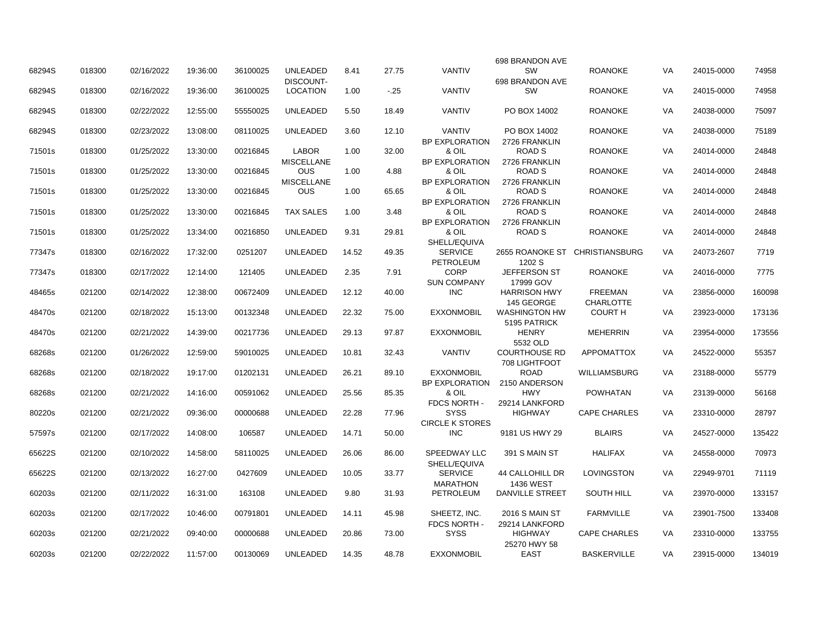|        |        |            |          |          |                                 |       |       |                                | 698 BRANDON AVE                |                                |           |            |        |
|--------|--------|------------|----------|----------|---------------------------------|-------|-------|--------------------------------|--------------------------------|--------------------------------|-----------|------------|--------|
| 68294S | 018300 | 02/16/2022 | 19:36:00 | 36100025 | <b>UNLEADED</b>                 | 8.41  | 27.75 | <b>VANTIV</b>                  | SW                             | <b>ROANOKE</b>                 | VA.       | 24015-0000 | 74958  |
|        |        |            |          |          | DISCOUNT-                       |       |       |                                | 698 BRANDON AVE                |                                |           |            |        |
| 68294S | 018300 | 02/16/2022 | 19:36:00 | 36100025 | <b>LOCATION</b>                 | 1.00  | $-25$ | <b>VANTIV</b>                  | <b>SW</b>                      | <b>ROANOKE</b>                 | VA        | 24015-0000 | 74958  |
| 68294S | 018300 | 02/22/2022 | 12:55:00 | 55550025 | <b>UNLEADED</b>                 | 5.50  | 18.49 | <b>VANTIV</b>                  | PO BOX 14002                   | <b>ROANOKE</b>                 | VA        | 24038-0000 | 75097  |
|        |        |            |          |          |                                 |       |       |                                |                                |                                |           |            |        |
| 68294S | 018300 | 02/23/2022 | 13:08:00 | 08110025 | <b>UNLEADED</b>                 | 3.60  | 12.10 | <b>VANTIV</b>                  | PO BOX 14002                   | <b>ROANOKE</b>                 | VA        | 24038-0000 | 75189  |
|        |        |            |          |          |                                 |       |       | <b>BP EXPLORATION</b>          | 2726 FRANKLIN                  |                                |           |            |        |
| 71501s | 018300 | 01/25/2022 | 13:30:00 | 00216845 | <b>LABOR</b>                    | 1.00  | 32.00 | & OIL                          | <b>ROAD S</b>                  | <b>ROANOKE</b>                 | VA        | 24014-0000 | 24848  |
|        |        |            |          |          | <b>MISCELLANE</b>               |       |       | <b>BP EXPLORATION</b>          | 2726 FRANKLIN                  |                                |           |            |        |
| 71501s | 018300 | 01/25/2022 | 13:30:00 | 00216845 | <b>OUS</b>                      | 1.00  | 4.88  | & OIL                          | ROAD <sub>S</sub>              | <b>ROANOKE</b>                 | VA        | 24014-0000 | 24848  |
| 71501s | 018300 | 01/25/2022 | 13:30:00 | 00216845 | <b>MISCELLANE</b><br><b>OUS</b> | 1.00  | 65.65 | <b>BP EXPLORATION</b><br>& OIL | 2726 FRANKLIN<br><b>ROAD S</b> | <b>ROANOKE</b>                 | VA        | 24014-0000 | 24848  |
|        |        |            |          |          |                                 |       |       | <b>BP EXPLORATION</b>          | 2726 FRANKLIN                  |                                |           |            |        |
| 71501s | 018300 | 01/25/2022 | 13:30:00 | 00216845 | <b>TAX SALES</b>                | 1.00  | 3.48  | & OIL                          | <b>ROAD S</b>                  | <b>ROANOKE</b>                 | VA        | 24014-0000 | 24848  |
|        |        |            |          |          |                                 |       |       | <b>BP EXPLORATION</b>          | 2726 FRANKLIN                  |                                |           |            |        |
| 71501s | 018300 | 01/25/2022 | 13:34:00 | 00216850 | <b>UNLEADED</b>                 | 9.31  | 29.81 | & OIL                          | <b>ROAD S</b>                  | <b>ROANOKE</b>                 | VA        | 24014-0000 | 24848  |
|        |        |            |          |          |                                 |       |       | SHELL/EQUIVA                   |                                |                                |           |            |        |
| 77347s | 018300 | 02/16/2022 | 17:32:00 | 0251207  | <b>UNLEADED</b>                 | 14.52 | 49.35 | <b>SERVICE</b>                 |                                | 2655 ROANOKE ST CHRISTIANSBURG | VA        | 24073-2607 | 7719   |
|        |        |            |          |          |                                 |       |       | PETROLEUM                      | 1202 S                         |                                |           |            |        |
| 77347s | 018300 | 02/17/2022 | 12:14:00 | 121405   | <b>UNLEADED</b>                 | 2.35  | 7.91  | <b>CORP</b>                    | <b>JEFFERSON ST</b>            | <b>ROANOKE</b>                 | VA        | 24016-0000 | 7775   |
|        |        |            |          |          |                                 |       |       | <b>SUN COMPANY</b>             | 17999 GOV                      |                                |           |            |        |
| 48465s | 021200 | 02/14/2022 | 12:38:00 | 00672409 | <b>UNLEADED</b>                 | 12.12 | 40.00 | <b>INC</b>                     | <b>HARRISON HWY</b>            | <b>FREEMAN</b>                 | VA        | 23856-0000 | 160098 |
|        |        |            |          |          |                                 |       |       |                                | 145 GEORGE                     | <b>CHARLOTTE</b>               |           |            |        |
| 48470s | 021200 | 02/18/2022 | 15:13:00 | 00132348 | <b>UNLEADED</b>                 | 22.32 | 75.00 | <b>EXXONMOBIL</b>              | <b>WASHINGTON HW</b>           | <b>COURT H</b>                 | VA        | 23923-0000 | 173136 |
|        |        |            |          |          |                                 |       |       |                                | 5195 PATRICK                   |                                |           |            |        |
| 48470s | 021200 | 02/21/2022 | 14:39:00 | 00217736 | <b>UNLEADED</b>                 | 29.13 | 97.87 | <b>EXXONMOBIL</b>              | <b>HENRY</b>                   | <b>MEHERRIN</b>                | VA        | 23954-0000 | 173556 |
|        |        |            |          |          |                                 |       |       |                                | 5532 OLD                       |                                |           |            |        |
| 68268s | 021200 | 01/26/2022 | 12:59:00 | 59010025 | <b>UNLEADED</b>                 | 10.81 | 32.43 | <b>VANTIV</b>                  | <b>COURTHOUSE RD</b>           | <b>APPOMATTOX</b>              | VA        | 24522-0000 | 55357  |
|        |        |            |          |          |                                 |       |       |                                | 708 LIGHTFOOT                  |                                |           |            |        |
| 68268s | 021200 | 02/18/2022 | 19:17:00 | 01202131 | <b>UNLEADED</b>                 | 26.21 | 89.10 | <b>EXXONMOBIL</b>              | ROAD                           | <b>WILLIAMSBURG</b>            | VA        | 23188-0000 | 55779  |
|        |        |            |          |          | <b>UNLEADED</b>                 |       |       | <b>BP EXPLORATION</b>          | 2150 ANDERSON                  |                                |           |            |        |
| 68268s | 021200 | 02/21/2022 | 14:16:00 | 00591062 |                                 | 25.56 | 85.35 | & OIL<br>FDCS NORTH -          | <b>HWY</b><br>29214 LANKFORD   | POWHATAN                       | VA        | 23139-0000 | 56168  |
| 80220s | 021200 | 02/21/2022 | 09:36:00 | 00000688 | <b>UNLEADED</b>                 | 22.28 | 77.96 | <b>SYSS</b>                    | <b>HIGHWAY</b>                 | <b>CAPE CHARLES</b>            | VA        | 23310-0000 | 28797  |
|        |        |            |          |          |                                 |       |       | <b>CIRCLE K STORES</b>         |                                |                                |           |            |        |
| 57597s | 021200 | 02/17/2022 | 14:08:00 | 106587   | <b>UNLEADED</b>                 | 14.71 | 50.00 | <b>INC</b>                     | 9181 US HWY 29                 | <b>BLAIRS</b>                  | VA        | 24527-0000 | 135422 |
|        |        |            |          |          |                                 |       |       |                                |                                |                                |           |            |        |
| 65622S | 021200 | 02/10/2022 | 14:58:00 | 58110025 | <b>UNLEADED</b>                 | 26.06 | 86.00 | <b>SPEEDWAY LLC</b>            | 391 S MAIN ST                  | <b>HALIFAX</b>                 | VA        | 24558-0000 | 70973  |
|        |        |            |          |          |                                 |       |       | SHELL/EQUIVA                   |                                |                                |           |            |        |
| 65622S | 021200 | 02/13/2022 | 16:27:00 | 0427609  | <b>UNLEADED</b>                 | 10.05 | 33.77 | <b>SERVICE</b>                 | <b>44 CALLOHILL DR</b>         | LOVINGSTON                     | <b>VA</b> | 22949-9701 | 71119  |
|        |        |            |          |          |                                 |       |       | <b>MARATHON</b>                | <b>1436 WEST</b>               |                                |           |            |        |
| 60203s | 021200 | 02/11/2022 | 16:31:00 | 163108   | <b>UNLEADED</b>                 | 9.80  | 31.93 | PETROLEUM                      | <b>DANVILLE STREET</b>         | <b>SOUTH HILL</b>              | VA        | 23970-0000 | 133157 |
|        |        |            |          |          |                                 |       |       |                                |                                |                                |           |            |        |
| 60203s | 021200 | 02/17/2022 | 10:46:00 | 00791801 | <b>UNLEADED</b>                 | 14.11 | 45.98 | SHEETZ, INC.                   | 2016 S MAIN ST                 | <b>FARMVILLE</b>               | VA        | 23901-7500 | 133408 |
|        |        |            |          |          |                                 |       |       | FDCS NORTH -                   | 29214 LANKFORD                 |                                |           |            |        |
| 60203s | 021200 | 02/21/2022 | 09:40:00 | 00000688 | <b>UNLEADED</b>                 | 20.86 | 73.00 | <b>SYSS</b>                    | <b>HIGHWAY</b>                 | <b>CAPE CHARLES</b>            | VA        | 23310-0000 | 133755 |
|        |        |            |          |          |                                 |       |       |                                | 25270 HWY 58                   |                                |           |            |        |
| 60203s | 021200 | 02/22/2022 | 11:57:00 | 00130069 | UNLEADED                        | 14.35 | 48.78 | <b>EXXONMOBIL</b>              | <b>EAST</b>                    | <b>BASKERVILLE</b>             | VA        | 23915-0000 | 134019 |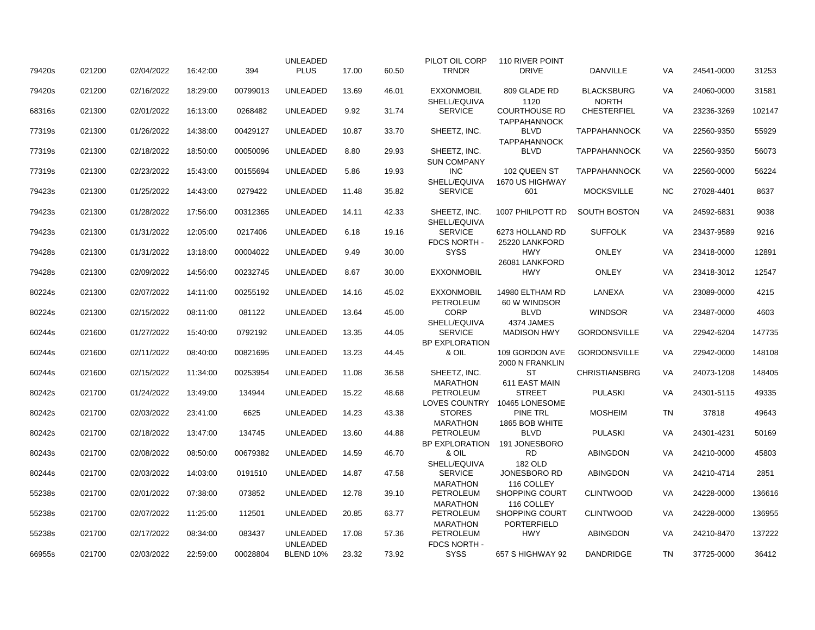|        |        |            |          |          | <b>UNLEADED</b>             |       |       | PILOT OIL CORP                     | 110 RIVER POINT                             |                      |           |            |        |
|--------|--------|------------|----------|----------|-----------------------------|-------|-------|------------------------------------|---------------------------------------------|----------------------|-----------|------------|--------|
| 79420s | 021200 | 02/04/2022 | 16:42:00 | 394      | <b>PLUS</b>                 | 17.00 | 60.50 | <b>TRNDR</b>                       | <b>DRIVE</b>                                | <b>DANVILLE</b>      | VA        | 24541-0000 | 31253  |
| 79420s | 021200 | 02/16/2022 | 18:29:00 | 00799013 | <b>UNLEADED</b>             | 13.69 | 46.01 | <b>EXXONMOBIL</b>                  | 809 GLADE RD                                | <b>BLACKSBURG</b>    | VA        | 24060-0000 | 31581  |
|        |        |            |          |          |                             |       |       | SHELL/EQUIVA                       | 1120                                        | <b>NORTH</b>         |           |            |        |
| 68316s | 021300 | 02/01/2022 | 16:13:00 | 0268482  | UNLEADED                    | 9.92  | 31.74 | <b>SERVICE</b>                     | <b>COURTHOUSE RD</b><br><b>TAPPAHANNOCK</b> | <b>CHESTERFIEL</b>   | VA        | 23236-3269 | 102147 |
| 77319s | 021300 | 01/26/2022 | 14:38:00 | 00429127 | <b>UNLEADED</b>             | 10.87 | 33.70 | SHEETZ, INC.                       | <b>BLVD</b><br><b>TAPPAHANNOCK</b>          | <b>TAPPAHANNOCK</b>  | VA        | 22560-9350 | 55929  |
| 77319s | 021300 | 02/18/2022 | 18:50:00 | 00050096 | <b>UNLEADED</b>             | 8.80  | 29.93 | SHEETZ, INC.                       | <b>BLVD</b>                                 | <b>TAPPAHANNOCK</b>  | VA        | 22560-9350 | 56073  |
| 77319s | 021300 | 02/23/2022 | 15:43:00 | 00155694 | <b>UNLEADED</b>             | 5.86  | 19.93 | <b>SUN COMPANY</b><br><b>INC</b>   | 102 QUEEN ST                                | <b>TAPPAHANNOCK</b>  | VA        | 22560-0000 | 56224  |
| 79423s | 021300 | 01/25/2022 | 14:43:00 | 0279422  | UNLEADED                    | 11.48 | 35.82 | SHELL/EQUIVA<br><b>SERVICE</b>     | 1670 US HIGHWAY<br>601                      | <b>MOCKSVILLE</b>    | NC        | 27028-4401 | 8637   |
|        |        |            |          |          |                             |       |       |                                    |                                             |                      |           |            |        |
| 79423s | 021300 | 01/28/2022 | 17:56:00 | 00312365 | <b>UNLEADED</b>             | 14.11 | 42.33 | SHEETZ, INC.<br>SHELL/EQUIVA       | 1007 PHILPOTT RD                            | <b>SOUTH BOSTON</b>  | VA        | 24592-6831 | 9038   |
| 79423s | 021300 | 01/31/2022 | 12:05:00 | 0217406  | <b>UNLEADED</b>             | 6.18  | 19.16 | <b>SERVICE</b>                     | 6273 HOLLAND RD                             | <b>SUFFOLK</b>       | VA        | 23437-9589 | 9216   |
| 79428s | 021300 | 01/31/2022 | 13:18:00 | 00004022 | <b>UNLEADED</b>             | 9.49  | 30.00 | FDCS NORTH -<br><b>SYSS</b>        | 25220 LANKFORD<br><b>HWY</b>                | <b>ONLEY</b>         | VA        | 23418-0000 | 12891  |
|        |        |            |          |          |                             |       |       |                                    | 26081 LANKFORD                              |                      |           |            |        |
| 79428s | 021300 | 02/09/2022 | 14:56:00 | 00232745 | UNLEADED                    | 8.67  | 30.00 | <b>EXXONMOBIL</b>                  | HWY                                         | <b>ONLEY</b>         | VA        | 23418-3012 | 12547  |
| 80224s | 021300 | 02/07/2022 | 14:11:00 | 00255192 | UNLEADED                    | 14.16 | 45.02 | <b>EXXONMOBIL</b>                  | 14980 ELTHAM RD                             | LANEXA               | VA        | 23089-0000 | 4215   |
| 80224s | 021300 | 02/15/2022 | 08:11:00 | 081122   | <b>UNLEADED</b>             | 13.64 | 45.00 | PETROLEUM<br><b>CORP</b>           | 60 W WINDSOR<br><b>BLVD</b>                 | <b>WINDSOR</b>       | VA        | 23487-0000 | 4603   |
|        |        |            |          |          |                             |       |       | SHELL/EQUIVA                       | 4374 JAMES                                  |                      |           |            |        |
| 60244s | 021600 | 01/27/2022 | 15:40:00 | 0792192  | <b>UNLEADED</b>             | 13.35 | 44.05 | <b>SERVICE</b>                     | <b>MADISON HWY</b>                          | <b>GORDONSVILLE</b>  | VA        | 22942-6204 | 147735 |
|        |        |            |          |          |                             |       |       | BP EXPLORATION                     |                                             |                      |           |            |        |
| 60244s | 021600 | 02/11/2022 | 08:40:00 | 00821695 | <b>UNLEADED</b>             | 13.23 | 44.45 | & OIL                              | 109 GORDON AVE<br>2000 N FRANKLIN           | <b>GORDONSVILLE</b>  | VA        | 22942-0000 | 148108 |
| 60244s | 021600 | 02/15/2022 | 11:34:00 | 00253954 | UNLEADED                    | 11.08 | 36.58 | SHEETZ, INC.                       | ST                                          | <b>CHRISTIANSBRG</b> | VA        | 24073-1208 | 148405 |
|        |        |            |          |          |                             |       |       | <b>MARATHON</b>                    | 611 EAST MAIN                               |                      |           |            |        |
| 80242s | 021700 | 01/24/2022 | 13:49:00 | 134944   | <b>UNLEADED</b>             | 15.22 | 48.68 | PETROLEUM                          | <b>STREET</b>                               | <b>PULASKI</b>       | VA        | 24301-5115 | 49335  |
|        |        |            |          |          |                             |       |       | LOVES COUNTRY                      | 10465 LONESOME                              |                      |           |            |        |
| 80242s | 021700 | 02/03/2022 | 23:41:00 | 6625     | <b>UNLEADED</b>             | 14.23 | 43.38 | <b>STORES</b>                      | <b>PINE TRL</b>                             | <b>MOSHEIM</b>       | <b>TN</b> | 37818      | 49643  |
|        |        |            |          |          |                             |       |       | <b>MARATHON</b>                    | 1865 BOB WHITE                              |                      |           |            |        |
| 80242s | 021700 | 02/18/2022 | 13:47:00 | 134745   | <b>UNLEADED</b>             | 13.60 | 44.88 | PETROLEUM<br><b>BP EXPLORATION</b> | <b>BLVD</b><br>191 JONESBORO                | <b>PULASKI</b>       | VA        | 24301-4231 | 50169  |
| 80243s | 021700 | 02/08/2022 | 08:50:00 | 00679382 | <b>UNLEADED</b>             | 14.59 | 46.70 | & OIL                              | <b>RD</b>                                   | <b>ABINGDON</b>      | VA        | 24210-0000 | 45803  |
|        |        |            |          |          |                             |       |       | SHELL/EQUIVA                       | <b>182 OLD</b>                              |                      |           |            |        |
| 80244s | 021700 | 02/03/2022 | 14:03:00 | 0191510  | <b>UNLEADED</b>             | 14.87 | 47.58 | <b>SERVICE</b>                     | JONESBORO RD                                | ABINGDON             | VA        | 24210-4714 | 2851   |
|        |        |            |          |          |                             |       |       | <b>MARATHON</b>                    | 116 COLLEY                                  |                      |           |            |        |
| 55238s | 021700 | 02/01/2022 | 07:38:00 | 073852   | <b>UNLEADED</b>             | 12.78 | 39.10 | PETROLEUM<br><b>MARATHON</b>       | <b>SHOPPING COURT</b><br>116 COLLEY         | <b>CLINTWOOD</b>     | VA        | 24228-0000 | 136616 |
| 55238s | 021700 | 02/07/2022 | 11:25:00 | 112501   | <b>UNLEADED</b>             | 20.85 | 63.77 | PETROLEUM                          | <b>SHOPPING COURT</b>                       | <b>CLINTWOOD</b>     | VA        | 24228-0000 | 136955 |
|        |        |            |          |          |                             |       |       | <b>MARATHON</b>                    | <b>PORTERFIELD</b>                          |                      |           |            |        |
| 55238s | 021700 | 02/17/2022 | 08:34:00 | 083437   | UNLEADED<br><b>UNLEADED</b> | 17.08 | 57.36 | PETROLEUM<br><b>FDCS NORTH-</b>    | <b>HWY</b>                                  | <b>ABINGDON</b>      | VA        | 24210-8470 | 137222 |
| 66955s | 021700 | 02/03/2022 | 22:59:00 | 00028804 | <b>BLEND 10%</b>            | 23.32 | 73.92 | <b>SYSS</b>                        | 657 S HIGHWAY 92                            | <b>DANDRIDGE</b>     | <b>TN</b> | 37725-0000 | 36412  |
|        |        |            |          |          |                             |       |       |                                    |                                             |                      |           |            |        |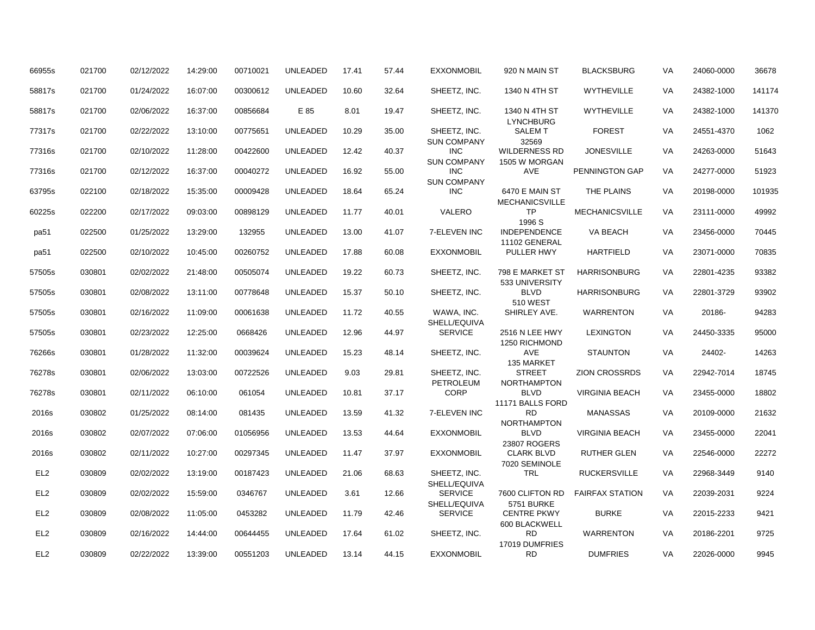| 66955s          | 021700 | 02/12/2022 | 14:29:00 | 00710021 | <b>UNLEADED</b> | 17.41 | 57.44 | <b>EXXONMOBIL</b>                  | 920 N MAIN ST                           | <b>BLACKSBURG</b>      | <b>VA</b> | 24060-0000 | 36678  |
|-----------------|--------|------------|----------|----------|-----------------|-------|-------|------------------------------------|-----------------------------------------|------------------------|-----------|------------|--------|
| 58817s          | 021700 | 01/24/2022 | 16:07:00 | 00300612 | <b>UNLEADED</b> | 10.60 | 32.64 | SHEETZ, INC.                       | 1340 N 4TH ST                           | <b>WYTHEVILLE</b>      | VA        | 24382-1000 | 141174 |
| 58817s          | 021700 | 02/06/2022 | 16:37:00 | 00856684 | E 85            | 8.01  | 19.47 | SHEETZ, INC.                       | 1340 N 4TH ST<br><b>LYNCHBURG</b>       | <b>WYTHEVILLE</b>      | VA        | 24382-1000 | 141370 |
| 77317s          | 021700 | 02/22/2022 | 13:10:00 | 00775651 | <b>UNLEADED</b> | 10.29 | 35.00 | SHEETZ. INC.<br><b>SUN COMPANY</b> | <b>SALEMT</b><br>32569                  | <b>FOREST</b>          | <b>VA</b> | 24551-4370 | 1062   |
| 77316s          | 021700 | 02/10/2022 | 11:28:00 | 00422600 | <b>UNLEADED</b> | 12.42 | 40.37 | INC<br><b>SUN COMPANY</b>          | <b>WILDERNESS RD</b><br>1505 W MORGAN   | <b>JONESVILLE</b>      | <b>VA</b> | 24263-0000 | 51643  |
| 77316s          | 021700 | 02/12/2022 | 16:37:00 | 00040272 | <b>UNLEADED</b> | 16.92 | 55.00 | <b>INC</b><br><b>SUN COMPANY</b>   | AVE                                     | PENNINGTON GAP         | <b>VA</b> | 24277-0000 | 51923  |
| 63795s          | 022100 | 02/18/2022 | 15:35:00 | 00009428 | UNLEADED        | 18.64 | 65.24 | INC                                | 6470 E MAIN ST<br><b>MECHANICSVILLE</b> | THE PLAINS             | VA        | 20198-0000 | 101935 |
| 60225s          | 022200 | 02/17/2022 | 09:03:00 | 00898129 | <b>UNLEADED</b> | 11.77 | 40.01 | VALERO                             | <b>TP</b><br>1996 S                     | <b>MECHANICSVILLE</b>  | VA        | 23111-0000 | 49992  |
| pa51            | 022500 | 01/25/2022 | 13:29:00 | 132955   | <b>UNLEADED</b> | 13.00 | 41.07 | 7-ELEVEN INC                       | <b>INDEPENDENCE</b><br>11102 GENERAL    | VA BEACH               | <b>VA</b> | 23456-0000 | 70445  |
| pa51            | 022500 | 02/10/2022 | 10:45:00 | 00260752 | <b>UNLEADED</b> | 17.88 | 60.08 | <b>EXXONMOBIL</b>                  | PULLER HWY                              | <b>HARTFIELD</b>       | <b>VA</b> | 23071-0000 | 70835  |
| 57505s          | 030801 | 02/02/2022 | 21:48:00 | 00505074 | <b>UNLEADED</b> | 19.22 | 60.73 | SHEETZ, INC.                       | 798 E MARKET ST<br>533 UNIVERSITY       | <b>HARRISONBURG</b>    | <b>VA</b> | 22801-4235 | 93382  |
| 57505s          | 030801 | 02/08/2022 | 13:11:00 | 00778648 | <b>UNLEADED</b> | 15.37 | 50.10 | SHEETZ, INC.                       | <b>BLVD</b><br><b>510 WEST</b>          | <b>HARRISONBURG</b>    | VA        | 22801-3729 | 93902  |
| 57505s          | 030801 | 02/16/2022 | 11:09:00 | 00061638 | <b>UNLEADED</b> | 11.72 | 40.55 | WAWA, INC.<br>SHELL/EQUIVA         | SHIRLEY AVE.                            | <b>WARRENTON</b>       | <b>VA</b> | 20186-     | 94283  |
| 57505s          | 030801 | 02/23/2022 | 12:25:00 | 0668426  | <b>UNLEADED</b> | 12.96 | 44.97 | <b>SERVICE</b>                     | 2516 N LEE HWY<br>1250 RICHMOND         | <b>LEXINGTON</b>       | VA        | 24450-3335 | 95000  |
| 76266s          | 030801 | 01/28/2022 | 11:32:00 | 00039624 | <b>UNLEADED</b> | 15.23 | 48.14 | SHEETZ, INC.                       | <b>AVE</b><br>135 MARKET                | <b>STAUNTON</b>        | <b>VA</b> | 24402-     | 14263  |
| 76278s          | 030801 | 02/06/2022 | 13:03:00 | 00722526 | <b>UNLEADED</b> | 9.03  | 29.81 | SHEETZ, INC.<br>PETROLEUM          | <b>STREET</b><br><b>NORTHAMPTON</b>     | <b>ZION CROSSRDS</b>   | <b>VA</b> | 22942-7014 | 18745  |
| 76278s          | 030801 | 02/11/2022 | 06:10:00 | 061054   | <b>UNLEADED</b> | 10.81 | 37.17 | <b>CORP</b>                        | <b>BLVD</b><br>11171 BALLS FORD         | <b>VIRGINIA BEACH</b>  | VA        | 23455-0000 | 18802  |
| 2016s           | 030802 | 01/25/2022 | 08:14:00 | 081435   | <b>UNLEADED</b> | 13.59 | 41.32 | 7-ELEVEN INC                       | <b>RD</b><br><b>NORTHAMPTON</b>         | <b>MANASSAS</b>        | VA        | 20109-0000 | 21632  |
| 2016s           | 030802 | 02/07/2022 | 07:06:00 | 01056956 | <b>UNLEADED</b> | 13.53 | 44.64 | <b>EXXONMOBIL</b>                  | <b>BLVD</b><br>23807 ROGERS             | <b>VIRGINIA BEACH</b>  | VA        | 23455-0000 | 22041  |
| 2016s           | 030802 | 02/11/2022 | 10:27:00 | 00297345 | <b>UNLEADED</b> | 11.47 | 37.97 | <b>EXXONMOBIL</b>                  | <b>CLARK BLVD</b><br>7020 SEMINOLE      | <b>RUTHER GLEN</b>     | <b>VA</b> | 22546-0000 | 22272  |
| EL <sub>2</sub> | 030809 | 02/02/2022 | 13:19:00 | 00187423 | <b>UNLEADED</b> | 21.06 | 68.63 | SHEETZ, INC.<br>SHELL/EQUIVA       | <b>TRL</b>                              | <b>RUCKERSVILLE</b>    | VA        | 22968-3449 | 9140   |
| EL <sub>2</sub> | 030809 | 02/02/2022 | 15:59:00 | 0346767  | <b>UNLEADED</b> | 3.61  | 12.66 | <b>SERVICE</b><br>SHELL/EQUIVA     | 7600 CLIFTON RD<br>5751 BURKE           | <b>FAIRFAX STATION</b> | <b>VA</b> | 22039-2031 | 9224   |
| EL <sub>2</sub> | 030809 | 02/08/2022 | 11:05:00 | 0453282  | <b>UNLEADED</b> | 11.79 | 42.46 | <b>SERVICE</b>                     | <b>CENTRE PKWY</b><br>600 BLACKWELL     | <b>BURKE</b>           | VA        | 22015-2233 | 9421   |
| EL <sub>2</sub> | 030809 | 02/16/2022 | 14:44:00 | 00644455 | <b>UNLEADED</b> | 17.64 | 61.02 | SHEETZ, INC.                       | <b>RD</b><br>17019 DUMFRIES             | <b>WARRENTON</b>       | VA        | 20186-2201 | 9725   |
| EL <sub>2</sub> | 030809 | 02/22/2022 | 13:39:00 | 00551203 | <b>UNLEADED</b> | 13.14 | 44.15 | <b>EXXONMOBIL</b>                  | <b>RD</b>                               | <b>DUMFRIES</b>        | <b>VA</b> | 22026-0000 | 9945   |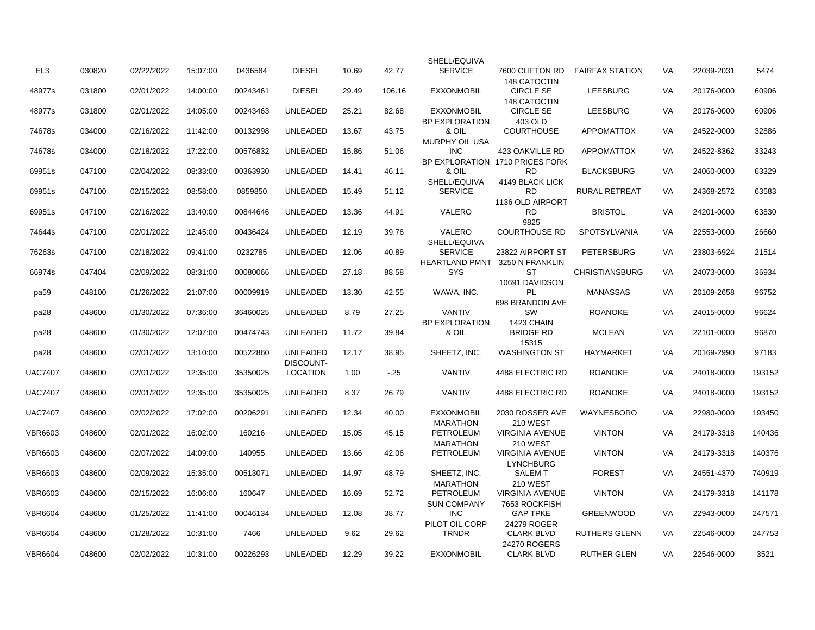|                  |        |            |          |          |                                     |       |        | SHELL/EQUIVA                        |                                              |                        |           |            |        |
|------------------|--------|------------|----------|----------|-------------------------------------|-------|--------|-------------------------------------|----------------------------------------------|------------------------|-----------|------------|--------|
| EL3              | 030820 | 02/22/2022 | 15:07:00 | 0436584  | <b>DIESEL</b>                       | 10.69 | 42.77  | <b>SERVICE</b>                      | 7600 CLIFTON RD<br><b>148 CATOCTIN</b>       | <b>FAIRFAX STATION</b> | VA        | 22039-2031 | 5474   |
| 48977s           | 031800 | 02/01/2022 | 14:00:00 | 00243461 | <b>DIESEL</b>                       | 29.49 | 106.16 | <b>EXXONMOBIL</b>                   | <b>CIRCLE SE</b><br><b>148 CATOCTIN</b>      | <b>LEESBURG</b>        | VA        | 20176-0000 | 60906  |
| 48977s           | 031800 | 02/01/2022 | 14:05:00 | 00243463 | <b>UNLEADED</b>                     | 25.21 | 82.68  | <b>EXXONMOBIL</b>                   | <b>CIRCLE SE</b>                             | <b>LEESBURG</b>        | <b>VA</b> | 20176-0000 | 60906  |
| 74678s           | 034000 | 02/16/2022 | 11:42:00 | 00132998 | <b>UNLEADED</b>                     | 13.67 | 43.75  | <b>BP EXPLORATION</b><br>& OIL      | 403 OLD<br><b>COURTHOUSE</b>                 | <b>APPOMATTOX</b>      | VA        | 24522-0000 | 32886  |
| 74678s           | 034000 | 02/18/2022 | 17:22:00 | 00576832 | <b>UNLEADED</b>                     | 15.86 | 51.06  | <b>MURPHY OIL USA</b><br><b>INC</b> | 423 OAKVILLE RD                              | <b>APPOMATTOX</b>      | <b>VA</b> | 24522-8362 | 33243  |
| 69951s           | 047100 | 02/04/2022 | 08:33:00 | 00363930 | <b>UNLEADED</b>                     | 14.41 | 46.11  | & OIL                               | BP EXPLORATION 1710 PRICES FORK<br><b>RD</b> | <b>BLACKSBURG</b>      | VA        | 24060-0000 | 63329  |
| 69951s           | 047100 | 02/15/2022 | 08:58:00 | 0859850  | <b>UNLEADED</b>                     | 15.49 | 51.12  | SHELL/EQUIVA<br><b>SERVICE</b>      | 4149 BLACK LICK<br><b>RD</b>                 | <b>RURAL RETREAT</b>   | <b>VA</b> | 24368-2572 | 63583  |
| 69951s           | 047100 | 02/16/2022 | 13:40:00 | 00844646 | <b>UNLEADED</b>                     | 13.36 | 44.91  | VALERO                              | 1136 OLD AIRPORT<br><b>RD</b>                | <b>BRISTOL</b>         | VA        | 24201-0000 | 63830  |
| 74644s           | 047100 | 02/01/2022 | 12:45:00 | 00436424 | <b>UNLEADED</b>                     | 12.19 | 39.76  | VALERO                              | 9825<br><b>COURTHOUSE RD</b>                 | SPOTSYLVANIA           | VA        | 22553-0000 | 26660  |
| 76263s           | 047100 | 02/18/2022 | 09:41:00 | 0232785  | UNLEADED                            | 12.06 | 40.89  | SHELL/EQUIVA<br><b>SERVICE</b>      | 23822 AIRPORT ST                             | <b>PETERSBURG</b>      | VA        | 23803-6924 | 21514  |
| 66974s           | 047404 | 02/09/2022 | 08:31:00 | 00080066 | <b>UNLEADED</b>                     | 27.18 | 88.58  | <b>HEARTLAND PMNT</b><br><b>SYS</b> | 3250 N FRANKLIN<br>ST                        | <b>CHRISTIANSBURG</b>  | VA        | 24073-0000 | 36934  |
| pa <sub>59</sub> | 048100 | 01/26/2022 | 21:07:00 | 00009919 | <b>UNLEADED</b>                     | 13.30 | 42.55  | WAWA, INC.                          | 10691 DAVIDSON<br><b>PL</b>                  | <b>MANASSAS</b>        | VA        | 20109-2658 | 96752  |
| pa28             | 048600 | 01/30/2022 | 07:36:00 | 36460025 | <b>UNLEADED</b>                     | 8.79  | 27.25  | <b>VANTIV</b>                       | 698 BRANDON AVE<br><b>SW</b>                 | <b>ROANOKE</b>         | VA        | 24015-0000 | 96624  |
| pa28             | 048600 | 01/30/2022 | 12:07:00 | 00474743 | <b>UNLEADED</b>                     | 11.72 | 39.84  | <b>BP EXPLORATION</b><br>& OIL      | 1423 CHAIN<br><b>BRIDGE RD</b>               | <b>MCLEAN</b>          | VA        | 22101-0000 | 96870  |
| pa28             | 048600 | 02/01/2022 | 13:10:00 | 00522860 | <b>UNLEADED</b>                     | 12.17 | 38.95  | SHEETZ, INC.                        | 15315<br><b>WASHINGTON ST</b>                | <b>HAYMARKET</b>       | <b>VA</b> | 20169-2990 | 97183  |
| <b>UAC7407</b>   | 048600 | 02/01/2022 | 12:35:00 | 35350025 | <b>DISCOUNT-</b><br><b>LOCATION</b> | 1.00  | $-.25$ | <b>VANTIV</b>                       | 4488 ELECTRIC RD                             | <b>ROANOKE</b>         | <b>VA</b> | 24018-0000 | 193152 |
| UAC7407          | 048600 | 02/01/2022 | 12:35:00 | 35350025 | <b>UNLEADED</b>                     | 8.37  | 26.79  | <b>VANTIV</b>                       | 4488 ELECTRIC RD                             | <b>ROANOKE</b>         | <b>VA</b> | 24018-0000 | 193152 |
| <b>UAC7407</b>   | 048600 | 02/02/2022 | 17:02:00 | 00206291 | <b>UNLEADED</b>                     | 12.34 | 40.00  | <b>EXXONMOBIL</b>                   | 2030 ROSSER AVE                              | WAYNESBORO             | <b>VA</b> | 22980-0000 | 193450 |
| VBR6603          | 048600 | 02/01/2022 | 16:02:00 | 160216   | <b>UNLEADED</b>                     | 15.05 | 45.15  | <b>MARATHON</b><br>PETROLEUM        | <b>210 WEST</b><br><b>VIRGINIA AVENUE</b>    | <b>VINTON</b>          | VA        | 24179-3318 | 140436 |
| VBR6603          | 048600 | 02/07/2022 | 14:09:00 | 140955   | <b>UNLEADED</b>                     | 13.66 | 42.06  | <b>MARATHON</b><br>PETROLEUM        | <b>210 WEST</b><br><b>VIRGINIA AVENUE</b>    | <b>VINTON</b>          | VA        | 24179-3318 | 140376 |
| VBR6603          | 048600 | 02/09/2022 | 15:35:00 | 00513071 | UNLEADED                            | 14.97 | 48.79  | SHEETZ, INC.                        | <b>LYNCHBURG</b><br><b>SALEMT</b>            | <b>FOREST</b>          | VA        | 24551-4370 | 740919 |
|                  |        |            |          | 160647   | <b>UNLEADED</b>                     |       |        | <b>MARATHON</b>                     | <b>210 WEST</b>                              | <b>VINTON</b>          | <b>VA</b> |            |        |
| VBR6603          | 048600 | 02/15/2022 | 16:06:00 |          |                                     | 16.69 | 52.72  | PETROLEUM<br><b>SUN COMPANY</b>     | <b>VIRGINIA AVENUE</b><br>7653 ROCKFISH      |                        |           | 24179-3318 | 141178 |
| VBR6604          | 048600 | 01/25/2022 | 11:41:00 | 00046134 | <b>UNLEADED</b>                     | 12.08 | 38.77  | <b>INC</b><br>PILOT OIL CORP        | <b>GAP TPKE</b><br>24279 ROGER               | <b>GREENWOOD</b>       | VA        | 22943-0000 | 247571 |
| <b>VBR6604</b>   | 048600 | 01/28/2022 | 10:31:00 | 7466     | <b>UNLEADED</b>                     | 9.62  | 29.62  | <b>TRNDR</b>                        | <b>CLARK BLVD</b><br>24270 ROGERS            | <b>RUTHERS GLENN</b>   | <b>VA</b> | 22546-0000 | 247753 |
| VBR6604          | 048600 | 02/02/2022 | 10:31:00 | 00226293 | <b>UNLEADED</b>                     | 12.29 | 39.22  | <b>EXXONMOBIL</b>                   | <b>CLARK BLVD</b>                            | RUTHER GLEN            | <b>VA</b> | 22546-0000 | 3521   |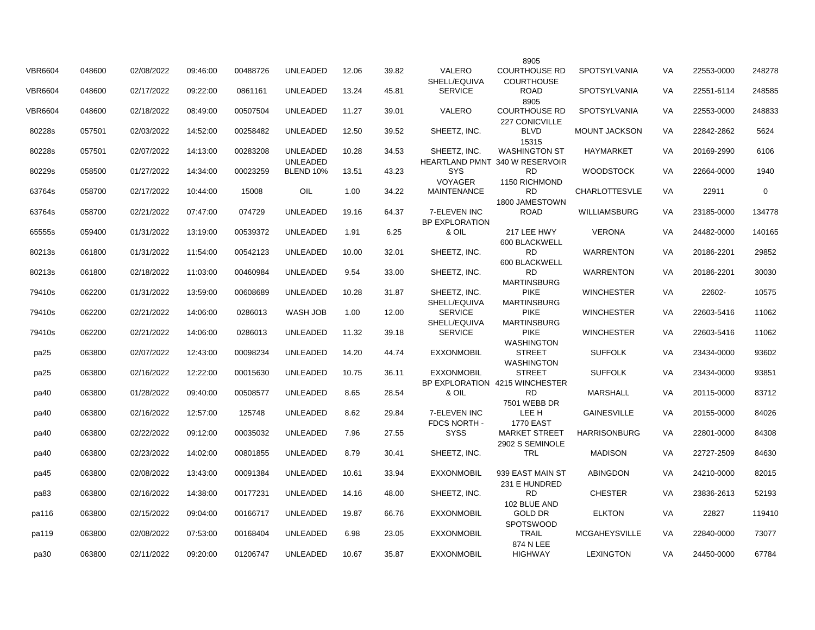|                |        |            |          |          |                              |       |       |                                | 8905                                        |                      |    |            |             |
|----------------|--------|------------|----------|----------|------------------------------|-------|-------|--------------------------------|---------------------------------------------|----------------------|----|------------|-------------|
| <b>VBR6604</b> | 048600 | 02/08/2022 | 09:46:00 | 00488726 | UNLEADED                     | 12.06 | 39.82 | <b>VALERO</b><br>SHELL/EQUIVA  | <b>COURTHOUSE RD</b><br><b>COURTHOUSE</b>   | SPOTSYLVANIA         | VA | 22553-0000 | 248278      |
| <b>VBR6604</b> | 048600 | 02/17/2022 | 09:22:00 | 0861161  | <b>UNLEADED</b>              | 13.24 | 45.81 | <b>SERVICE</b>                 | <b>ROAD</b>                                 | <b>SPOTSYLVANIA</b>  | VA | 22551-6114 | 248585      |
| <b>VBR6604</b> | 048600 | 02/18/2022 | 08:49:00 | 00507504 | <b>UNLEADED</b>              | 11.27 | 39.01 | <b>VALERO</b>                  | 8905<br><b>COURTHOUSE RD</b>                | SPOTSYLVANIA         | VA | 22553-0000 | 248833      |
| 80228s         | 057501 | 02/03/2022 | 14:52:00 | 00258482 | UNLEADED                     | 12.50 | 39.52 | SHEETZ, INC.                   | 227 CONICVILLE<br><b>BLVD</b>               | MOUNT JACKSON        | VA | 22842-2862 | 5624        |
| 80228s         | 057501 | 02/07/2022 | 14:13:00 | 00283208 | UNLEADED                     | 10.28 | 34.53 | SHEETZ, INC.                   | 15315<br><b>WASHINGTON ST</b>               | <b>HAYMARKET</b>     | VA | 20169-2990 | 6106        |
| 80229s         | 058500 | 01/27/2022 | 14:34:00 | 00023259 | <b>UNLEADED</b><br>BLEND 10% | 13.51 | 43.23 | SYS                            | HEARTLAND PMNT 340 W RESERVOIR<br><b>RD</b> | <b>WOODSTOCK</b>     | VA | 22664-0000 | 1940        |
| 63764s         | 058700 | 02/17/2022 | 10:44:00 | 15008    | OIL                          | 1.00  | 34.22 | VOYAGER<br><b>MAINTENANCE</b>  | 1150 RICHMOND<br><b>RD</b>                  | <b>CHARLOTTESVLE</b> | VA | 22911      | $\mathbf 0$ |
| 63764s         | 058700 | 02/21/2022 | 07:47:00 | 074729   | UNLEADED                     | 19.16 | 64.37 | 7-ELEVEN INC                   | 1800 JAMESTOWN<br><b>ROAD</b>               | WILLIAMSBURG         | VA | 23185-0000 | 134778      |
| 65555s         | 059400 | 01/31/2022 | 13:19:00 | 00539372 | <b>UNLEADED</b>              | 1.91  | 6.25  | <b>BP EXPLORATION</b><br>& OIL | 217 LEE HWY                                 | <b>VERONA</b>        | VA | 24482-0000 | 140165      |
| 80213s         | 061800 | 01/31/2022 | 11:54:00 | 00542123 | <b>UNLEADED</b>              | 10.00 | 32.01 | SHEETZ, INC.                   | 600 BLACKWELL<br><b>RD</b>                  | <b>WARRENTON</b>     | VA | 20186-2201 | 29852       |
|                |        |            |          |          |                              |       |       |                                | 600 BLACKWELL                               |                      |    |            |             |
| 80213s         | 061800 | 02/18/2022 | 11:03:00 | 00460984 | UNLEADED                     | 9.54  | 33.00 | SHEETZ, INC.                   | <b>RD</b><br><b>MARTINSBURG</b>             | <b>WARRENTON</b>     | VA | 20186-2201 | 30030       |
| 79410s         | 062200 | 01/31/2022 | 13:59:00 | 00608689 | UNLEADED                     | 10.28 | 31.87 | SHEETZ, INC.<br>SHELL/EQUIVA   | <b>PIKE</b><br><b>MARTINSBURG</b>           | <b>WINCHESTER</b>    | VA | 22602-     | 10575       |
| 79410s         | 062200 | 02/21/2022 | 14:06:00 | 0286013  | WASH JOB                     | 1.00  | 12.00 | <b>SERVICE</b><br>SHELL/EQUIVA | <b>PIKE</b><br><b>MARTINSBURG</b>           | <b>WINCHESTER</b>    | VA | 22603-5416 | 11062       |
| 79410s         | 062200 | 02/21/2022 | 14:06:00 | 0286013  | <b>UNLEADED</b>              | 11.32 | 39.18 | <b>SERVICE</b>                 | <b>PIKE</b><br><b>WASHINGTON</b>            | <b>WINCHESTER</b>    | VA | 22603-5416 | 11062       |
| pa25           | 063800 | 02/07/2022 | 12:43:00 | 00098234 | UNLEADED                     | 14.20 | 44.74 | <b>EXXONMOBIL</b>              | <b>STREET</b>                               | <b>SUFFOLK</b>       | VA | 23434-0000 | 93602       |
| pa25           | 063800 | 02/16/2022 | 12:22:00 | 00015630 | <b>UNLEADED</b>              | 10.75 | 36.11 | <b>EXXONMOBIL</b>              | <b>WASHINGTON</b><br><b>STREET</b>          | <b>SUFFOLK</b>       | VA | 23434-0000 | 93851       |
| pa40           | 063800 | 01/28/2022 | 09:40:00 | 00508577 | <b>UNLEADED</b>              | 8.65  | 28.54 | & OIL                          | BP EXPLORATION 4215 WINCHESTER<br><b>RD</b> | <b>MARSHALL</b>      | VA | 20115-0000 | 83712       |
|                |        |            |          |          |                              | 8.62  |       | 7-ELEVEN INC                   | 7501 WEBB DR<br>LEE H                       |                      | VA |            |             |
| pa40           | 063800 | 02/16/2022 | 12:57:00 | 125748   | <b>UNLEADED</b>              |       | 29.84 | FDCS NORTH -                   | <b>1770 EAST</b>                            | <b>GAINESVILLE</b>   |    | 20155-0000 | 84026       |
| pa40           | 063800 | 02/22/2022 | 09:12:00 | 00035032 | <b>UNLEADED</b>              | 7.96  | 27.55 | <b>SYSS</b>                    | <b>MARKET STREET</b><br>2902 S SEMINOLE     | <b>HARRISONBURG</b>  | VA | 22801-0000 | 84308       |
| pa40           | 063800 | 02/23/2022 | 14:02:00 | 00801855 | UNLEADED                     | 8.79  | 30.41 | SHEETZ, INC.                   | TRL                                         | <b>MADISON</b>       | VA | 22727-2509 | 84630       |
| pa45           | 063800 | 02/08/2022 | 13:43:00 | 00091384 | <b>UNLEADED</b>              | 10.61 | 33.94 | <b>EXXONMOBIL</b>              | 939 EAST MAIN ST<br>231 E HUNDRED           | <b>ABINGDON</b>      | VA | 24210-0000 | 82015       |
| pa83           | 063800 | 02/16/2022 | 14:38:00 | 00177231 | <b>UNLEADED</b>              | 14.16 | 48.00 | SHEETZ, INC.                   | <b>RD</b>                                   | <b>CHESTER</b>       | VA | 23836-2613 | 52193       |
| pa116          | 063800 | 02/15/2022 | 09:04:00 | 00166717 | <b>UNLEADED</b>              | 19.87 | 66.76 | <b>EXXONMOBIL</b>              | 102 BLUE AND<br><b>GOLD DR</b>              | <b>ELKTON</b>        | VA | 22827      | 119410      |
| pa119          | 063800 | 02/08/2022 | 07:53:00 | 00168404 | <b>UNLEADED</b>              | 6.98  | 23.05 | <b>EXXONMOBIL</b>              | <b>SPOTSWOOD</b><br><b>TRAIL</b>            | <b>MCGAHEYSVILLE</b> | VA | 22840-0000 | 73077       |
| pa30           | 063800 | 02/11/2022 | 09:20:00 | 01206747 | <b>UNLEADED</b>              | 10.67 | 35.87 | <b>EXXONMOBIL</b>              | 874 N LEE<br><b>HIGHWAY</b>                 | <b>LEXINGTON</b>     | VA | 24450-0000 | 67784       |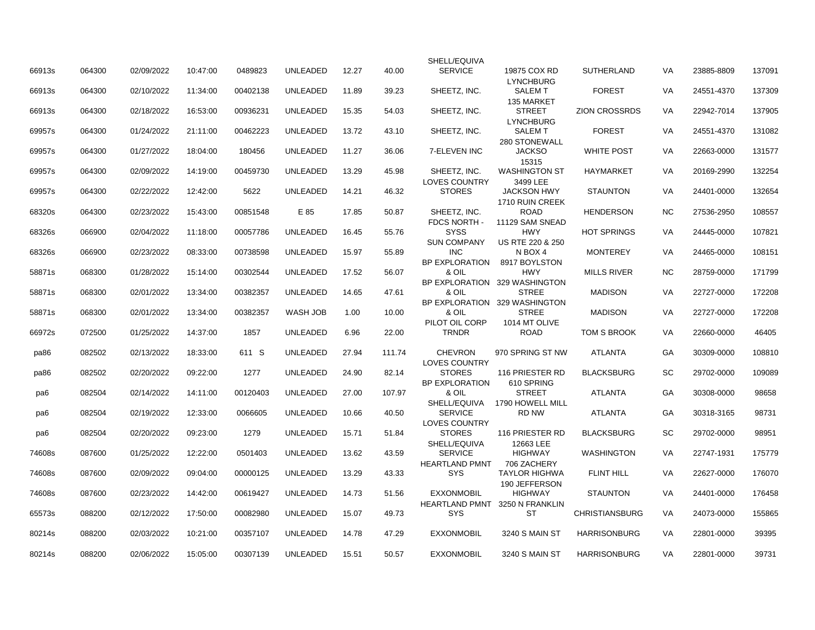|        |        |            |          |          |                 |       |        | SHELL/EQUIVA                               |                                       |                       |           |            |        |
|--------|--------|------------|----------|----------|-----------------|-------|--------|--------------------------------------------|---------------------------------------|-----------------------|-----------|------------|--------|
| 66913s | 064300 | 02/09/2022 | 10:47:00 | 0489823  | UNLEADED        | 12.27 | 40.00  | <b>SERVICE</b>                             | 19875 COX RD<br><b>LYNCHBURG</b>      | <b>SUTHERLAND</b>     | VA        | 23885-8809 | 137091 |
| 66913s | 064300 | 02/10/2022 | 11:34:00 | 00402138 | <b>UNLEADED</b> | 11.89 | 39.23  | SHEETZ, INC.                               | <b>SALEM T</b><br>135 MARKET          | <b>FOREST</b>         | <b>VA</b> | 24551-4370 | 137309 |
| 66913s | 064300 | 02/18/2022 | 16:53:00 | 00936231 | <b>UNLEADED</b> | 15.35 | 54.03  | SHEETZ, INC.                               | <b>STREET</b>                         | <b>ZION CROSSRDS</b>  | VA        | 22942-7014 | 137905 |
| 69957s | 064300 | 01/24/2022 | 21:11:00 | 00462223 | <b>UNLEADED</b> | 13.72 | 43.10  | SHEETZ, INC.                               | <b>LYNCHBURG</b><br><b>SALEM T</b>    | <b>FOREST</b>         | VA        | 24551-4370 | 131082 |
| 69957s | 064300 | 01/27/2022 | 18:04:00 | 180456   | <b>UNLEADED</b> | 11.27 | 36.06  | 7-ELEVEN INC                               | 280 STONEWALL<br><b>JACKSO</b>        | <b>WHITE POST</b>     | VA        | 22663-0000 | 131577 |
| 69957s | 064300 | 02/09/2022 | 14:19:00 | 00459730 | <b>UNLEADED</b> | 13.29 | 45.98  | SHEETZ, INC.                               | 15315<br><b>WASHINGTON ST</b>         | <b>HAYMARKET</b>      | VA        | 20169-2990 | 132254 |
| 69957s | 064300 | 02/22/2022 | 12:42:00 | 5622     | <b>UNLEADED</b> | 14.21 | 46.32  | <b>LOVES COUNTRY</b><br><b>STORES</b>      | 3499 LEE<br><b>JACKSON HWY</b>        | <b>STAUNTON</b>       | VA        | 24401-0000 | 132654 |
| 68320s | 064300 | 02/23/2022 | 15:43:00 | 00851548 | E 85            | 17.85 | 50.87  | SHEETZ, INC.                               | 1710 RUIN CREEK<br><b>ROAD</b>        | <b>HENDERSON</b>      | <b>NC</b> | 27536-2950 | 108557 |
| 68326s | 066900 | 02/04/2022 | 11:18:00 | 00057786 | <b>UNLEADED</b> | 16.45 | 55.76  | FDCS NORTH -<br><b>SYSS</b>                | 11129 SAM SNEAD<br><b>HWY</b>         | <b>HOT SPRINGS</b>    | VA        | 24445-0000 | 107821 |
|        |        |            |          |          |                 |       |        | <b>SUN COMPANY</b>                         | US RTE 220 & 250                      |                       |           |            |        |
| 68326s | 066900 | 02/23/2022 | 08:33:00 | 00738598 | <b>UNLEADED</b> | 15.97 | 55.89  | <b>INC</b>                                 | N BOX 4                               | <b>MONTEREY</b>       | VA        | 24465-0000 | 108151 |
| 58871s | 068300 | 01/28/2022 | 15:14:00 | 00302544 | <b>UNLEADED</b> | 17.52 | 56.07  | <b>BP EXPLORATION</b><br>& OIL             | 8917 BOYLSTON<br><b>HWY</b>           | <b>MILLS RIVER</b>    | <b>NC</b> | 28759-0000 | 171799 |
|        |        |            |          |          |                 |       |        |                                            | BP EXPLORATION 329 WASHINGTON         |                       |           |            |        |
| 58871s | 068300 | 02/01/2022 | 13:34:00 | 00382357 | <b>UNLEADED</b> | 14.65 | 47.61  | & OIL<br><b>BP EXPLORATION</b>             | <b>STREE</b><br>329 WASHINGTON        | <b>MADISON</b>        | VA        | 22727-0000 | 172208 |
| 58871s | 068300 | 02/01/2022 | 13:34:00 | 00382357 | WASH JOB        | 1.00  | 10.00  | & OIL                                      | <b>STREE</b>                          | <b>MADISON</b>        | VA        | 22727-0000 | 172208 |
| 66972s | 072500 | 01/25/2022 | 14:37:00 | 1857     | <b>UNLEADED</b> | 6.96  | 22.00  | PILOT OIL CORP<br><b>TRNDR</b>             | 1014 MT OLIVE<br><b>ROAD</b>          | TOM S BROOK           | VA        | 22660-0000 | 46405  |
| pa86   | 082502 | 02/13/2022 | 18:33:00 | 611 S    | <b>UNLEADED</b> | 27.94 | 111.74 | <b>CHEVRON</b>                             | 970 SPRING ST NW                      | <b>ATLANTA</b>        | GA        | 30309-0000 | 108810 |
| pa86   | 082502 | 02/20/2022 | 09:22:00 | 1277     | <b>UNLEADED</b> | 24.90 | 82.14  | <b>LOVES COUNTRY</b><br><b>STORES</b>      | 116 PRIESTER RD                       | <b>BLACKSBURG</b>     | SC        | 29702-0000 | 109089 |
| pa6    | 082504 | 02/14/2022 | 14:11:00 | 00120403 | <b>UNLEADED</b> | 27.00 | 107.97 | <b>BP EXPLORATION</b><br>& OIL             | 610 SPRING<br><b>STREET</b>           | <b>ATLANTA</b>        | GA        | 30308-0000 | 98658  |
| pa6    | 082504 | 02/19/2022 | 12:33:00 | 0066605  | <b>UNLEADED</b> | 10.66 | 40.50  | SHELL/EQUIVA<br><b>SERVICE</b>             | 1790 HOWELL MILL<br>RD NW             | <b>ATLANTA</b>        | GA        | 30318-3165 | 98731  |
| pa6    | 082504 | 02/20/2022 | 09:23:00 | 1279     | <b>UNLEADED</b> | 15.71 | 51.84  | <b>LOVES COUNTRY</b><br><b>STORES</b>      | 116 PRIESTER RD                       | <b>BLACKSBURG</b>     | <b>SC</b> | 29702-0000 | 98951  |
|        |        |            |          |          |                 |       |        | SHELL/EQUIVA                               | 12663 LEE                             |                       |           |            |        |
| 74608s | 087600 | 01/25/2022 | 12:22:00 | 0501403  | <b>UNLEADED</b> | 13.62 | 43.59  | <b>SERVICE</b><br><b>HEARTLAND PMNT</b>    | <b>HIGHWAY</b><br>706 ZACHERY         | <b>WASHINGTON</b>     | VA        | 22747-1931 | 175779 |
| 74608s | 087600 | 02/09/2022 | 09:04:00 | 00000125 | <b>UNLEADED</b> | 13.29 | 43.33  | <b>SYS</b>                                 | <b>TAYLOR HIGHWA</b><br>190 JEFFERSON | <b>FLINT HILL</b>     | <b>VA</b> | 22627-0000 | 176070 |
| 74608s | 087600 | 02/23/2022 | 14:42:00 | 00619427 | <b>UNLEADED</b> | 14.73 | 51.56  | <b>EXXONMOBIL</b><br><b>HEARTLAND PMNT</b> | <b>HIGHWAY</b><br>3250 N FRANKLIN     | <b>STAUNTON</b>       | VA        | 24401-0000 | 176458 |
| 65573s | 088200 | 02/12/2022 | 17:50:00 | 00082980 | <b>UNLEADED</b> | 15.07 | 49.73  | <b>SYS</b>                                 | <b>ST</b>                             | <b>CHRISTIANSBURG</b> | VA        | 24073-0000 | 155865 |
| 80214s | 088200 | 02/03/2022 | 10:21:00 | 00357107 | <b>UNLEADED</b> | 14.78 | 47.29  | <b>EXXONMOBIL</b>                          | 3240 S MAIN ST                        | <b>HARRISONBURG</b>   | VA        | 22801-0000 | 39395  |
| 80214s | 088200 | 02/06/2022 | 15:05:00 | 00307139 | <b>UNLEADED</b> | 15.51 | 50.57  | <b>EXXONMOBIL</b>                          | 3240 S MAIN ST                        | <b>HARRISONBURG</b>   | VA        | 22801-0000 | 39731  |